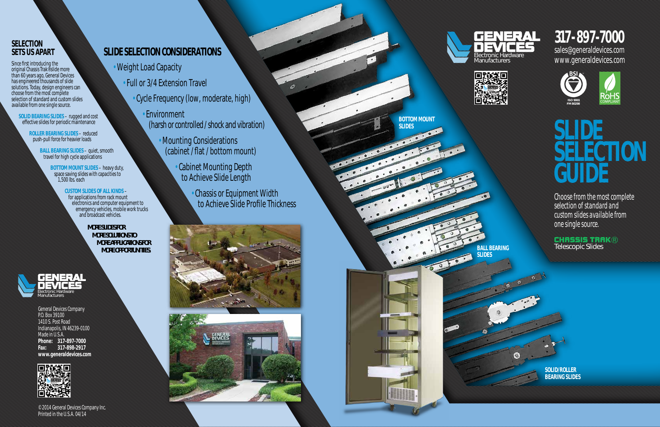



**BOTTOM MOUNT** 

**SLIDES**

## **317-897-7000**

sales@generaldevices.com www.generaldevices.com

*ISO 9001 FM 80298* 



# **SLIDE SELECTION GUIDE**

*Choose from the most complete selection of standard and custom slides available from one single source.*

Telescopic Slides ®

**BALL BEARING SLIDES**

 $\odot$